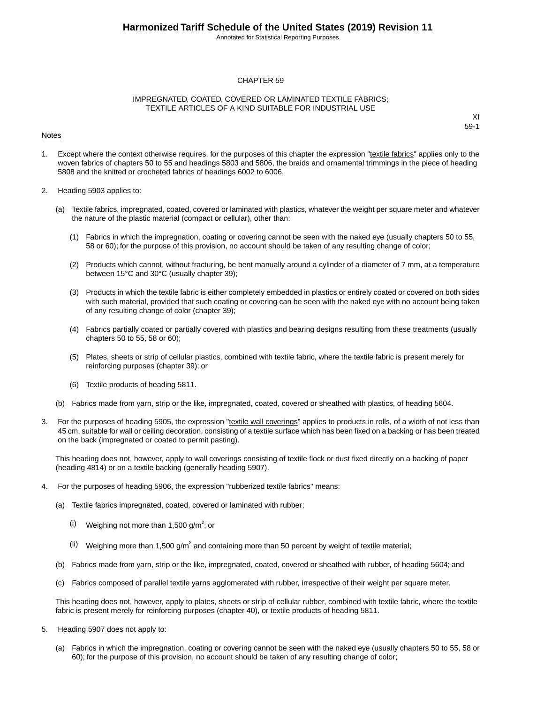Annotated for Statistical Reporting Purposes

#### CHAPTER 59

#### IMPREGNATED, COATED, COVERED OR LAMINATED TEXTILE FABRICS; TEXTILE ARTICLES OF A KIND SUITABLE FOR INDUSTRIAL USE

#### Notes

XI 59-1

- 1. Except where the context otherwise requires, for the purposes of this chapter the expression "textile fabrics" applies only to the woven fabrics of chapters 50 to 55 and headings 5803 and 5806, the braids and ornamental trimmings in the piece of heading 5808 and the knitted or crocheted fabrics of headings 6002 to 6006.
- 2. Heading 5903 applies to:
	- (a) Textile fabrics, impregnated, coated, covered or laminated with plastics, whatever the weight per square meter and whatever the nature of the plastic material (compact or cellular), other than:
		- (1) Fabrics in which the impregnation, coating or covering cannot be seen with the naked eye (usually chapters 50 to 55, 58 or 60); for the purpose of this provision, no account should be taken of any resulting change of color;
		- (2) Products which cannot, without fracturing, be bent manually around a cylinder of a diameter of 7 mm, at a temperature between 15°C and 30°C (usually chapter 39);
		- (3) Products in which the textile fabric is either completely embedded in plastics or entirely coated or covered on both sides with such material, provided that such coating or covering can be seen with the naked eye with no account being taken of any resulting change of color (chapter 39);
		- (4) Fabrics partially coated or partially covered with plastics and bearing designs resulting from these treatments (usually chapters 50 to 55, 58 or 60);
		- (5) Plates, sheets or strip of cellular plastics, combined with textile fabric, where the textile fabric is present merely for reinforcing purposes (chapter 39); or
		- (6) Textile products of heading 5811.
	- (b) Fabrics made from yarn, strip or the like, impregnated, coated, covered or sheathed with plastics, of heading 5604.
- 3. For the purposes of heading 5905, the expression "textile wall coverings" applies to products in rolls, of a width of not less than 45 cm, suitable for wall or ceiling decoration, consisting of a textile surface which has been fixed on a backing or has been treated on the back (impregnated or coated to permit pasting).

This heading does not, however, apply to wall coverings consisting of textile flock or dust fixed directly on a backing of paper (heading 4814) or on a textile backing (generally heading 5907).

- 4. For the purposes of heading 5906, the expression "rubberized textile fabrics" means:
	- (a) Textile fabrics impregnated, coated, covered or laminated with rubber:
		- $(i)$  Weighing not more than 1,500 g/m<sup>2</sup>; or
		- (ii) Weighing more than 1,500 g/m<sup>2</sup> and containing more than 50 percent by weight of textile material;
	- (b) Fabrics made from yarn, strip or the like, impregnated, coated, covered or sheathed with rubber, of heading 5604; and
	- (c) Fabrics composed of parallel textile yarns agglomerated with rubber, irrespective of their weight per square meter.

This heading does not, however, apply to plates, sheets or strip of cellular rubber, combined with textile fabric, where the textile fabric is present merely for reinforcing purposes (chapter 40), or textile products of heading 5811.

- 5. Heading 5907 does not apply to:
	- (a) Fabrics in which the impregnation, coating or covering cannot be seen with the naked eye (usually chapters 50 to 55, 58 or 60); for the purpose of this provision, no account should be taken of any resulting change of color;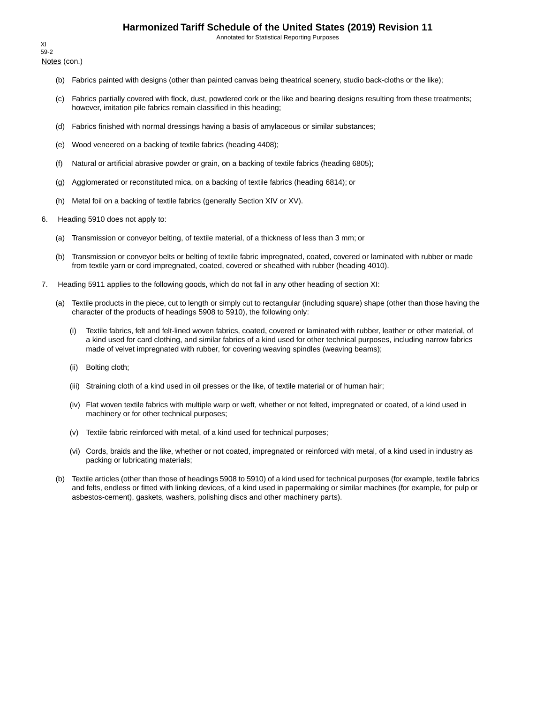Annotated for Statistical Reporting Purposes

Notes (con.) XI 59-2

- (b) Fabrics painted with designs (other than painted canvas being theatrical scenery, studio back-cloths or the like);
- (c) Fabrics partially covered with flock, dust, powdered cork or the like and bearing designs resulting from these treatments; however, imitation pile fabrics remain classified in this heading;
- (d) Fabrics finished with normal dressings having a basis of amylaceous or similar substances;
- (e) Wood veneered on a backing of textile fabrics (heading 4408);
- (f) Natural or artificial abrasive powder or grain, on a backing of textile fabrics (heading 6805);
- (g) Agglomerated or reconstituted mica, on a backing of textile fabrics (heading 6814); or
- (h) Metal foil on a backing of textile fabrics (generally Section XIV or XV).
- 6. Heading 5910 does not apply to:
	- (a) Transmission or conveyor belting, of textile material, of a thickness of less than 3 mm; or
	- (b) Transmission or conveyor belts or belting of textile fabric impregnated, coated, covered or laminated with rubber or made from textile yarn or cord impregnated, coated, covered or sheathed with rubber (heading 4010).
- 7. Heading 5911 applies to the following goods, which do not fall in any other heading of section XI:
	- (a) Textile products in the piece, cut to length or simply cut to rectangular (including square) shape (other than those having the character of the products of headings 5908 to 5910), the following only:
		- (i) Textile fabrics, felt and felt-lined woven fabrics, coated, covered or laminated with rubber, leather or other material, of a kind used for card clothing, and similar fabrics of a kind used for other technical purposes, including narrow fabrics made of velvet impregnated with rubber, for covering weaving spindles (weaving beams);
		- (ii) Bolting cloth;
		- (iii) Straining cloth of a kind used in oil presses or the like, of textile material or of human hair;
		- (iv) Flat woven textile fabrics with multiple warp or weft, whether or not felted, impregnated or coated, of a kind used in machinery or for other technical purposes;
		- (v) Textile fabric reinforced with metal, of a kind used for technical purposes;
		- (vi) Cords, braids and the like, whether or not coated, impregnated or reinforced with metal, of a kind used in industry as packing or lubricating materials;
	- (b) Textile articles (other than those of headings 5908 to 5910) of a kind used for technical purposes (for example, textile fabrics and felts, endless or fitted with linking devices, of a kind used in papermaking or similar machines (for example, for pulp or asbestos-cement), gaskets, washers, polishing discs and other machinery parts).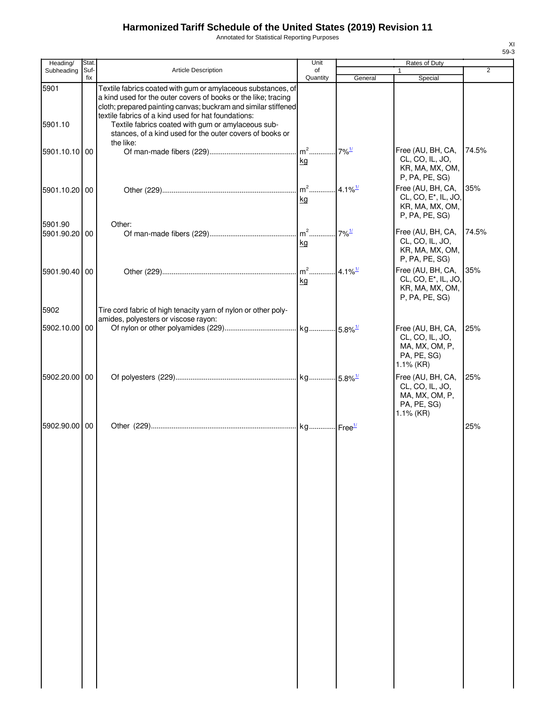Annotated for Statistical Reporting Purposes

|  |   | XI<br>$59-3$ |
|--|---|--------------|
|  |   |              |
|  | 2 |              |
|  |   |              |
|  |   |              |

| Heading/        | Stat.       |                                                                                                                                                                                                                                                                                                               | Unit           | Rates of Duty         |                                                                                            |                |
|-----------------|-------------|---------------------------------------------------------------------------------------------------------------------------------------------------------------------------------------------------------------------------------------------------------------------------------------------------------------|----------------|-----------------------|--------------------------------------------------------------------------------------------|----------------|
| Subheading      | Suf-<br>fix | <b>Article Description</b>                                                                                                                                                                                                                                                                                    | of<br>Quantity | General               | 1<br>Special                                                                               | $\overline{2}$ |
| 5901<br>5901.10 |             | Textile fabrics coated with gum or amylaceous substances, of<br>a kind used for the outer covers of books or the like; tracing<br>cloth; prepared painting canvas; buckram and similar stiffened<br>textile fabrics of a kind used for hat foundations:<br>Textile fabrics coated with gum or amylaceous sub- |                |                       |                                                                                            |                |
|                 |             | stances, of a kind used for the outer covers of books or<br>the like:                                                                                                                                                                                                                                         |                |                       |                                                                                            |                |
| 5901.10.10 00   |             |                                                                                                                                                                                                                                                                                                               | kg             |                       | Free (AU, BH, CA,<br>CL, CO, IL, JO,<br>KR, MA, MX, OM,<br>P, PA, PE, SG)                  | 74.5%          |
| 5901.10.20 00   |             |                                                                                                                                                                                                                                                                                                               | kg             |                       | Free (AU, BH, CA,<br>CL, CO, E <sup>*</sup> , IL, JO,<br>KR, MA, MX, OM,                   | 35%            |
| 5901.90         |             | Other:                                                                                                                                                                                                                                                                                                        |                |                       | P, PA, PE, SG)                                                                             |                |
| 5901.90.20 00   |             |                                                                                                                                                                                                                                                                                                               | $m2$<br>kg     | $7\%$ <sup>1/</sup>   | Free (AU, BH, CA,<br>CL, CO, IL, JO,<br>KR, MA, MX, OM,<br>P, PA, PE, SG)                  | 74.5%          |
| 5901.90.40 00   |             |                                                                                                                                                                                                                                                                                                               | kg             | $4.1\%$ <sup>1/</sup> | Free (AU, BH, CA,<br>CL, CO, E <sup>*</sup> , IL, JO,<br>KR, MA, MX, OM,<br>P, PA, PE, SG) | 35%            |
| 5902            |             | Tire cord fabric of high tenacity yarn of nylon or other poly-                                                                                                                                                                                                                                                |                |                       |                                                                                            |                |
| 5902.10.00 00   |             | amides, polyesters or viscose rayon:                                                                                                                                                                                                                                                                          |                |                       | Free (AU, BH, CA,<br>CL, CO, IL, JO,<br>MA, MX, OM, P,<br>PA, PE, SG)<br>1.1% (KR)         | 25%            |
| 5902.20.00 00   |             |                                                                                                                                                                                                                                                                                                               |                |                       | Free (AU, BH, CA,<br>CL, CO, IL, JO,<br>MA, MX, OM, P,<br>PA, PE, SG)                      | 25%            |
| 5902.90.00 00   |             |                                                                                                                                                                                                                                                                                                               |                |                       | 1.1% (KR)                                                                                  | 25%            |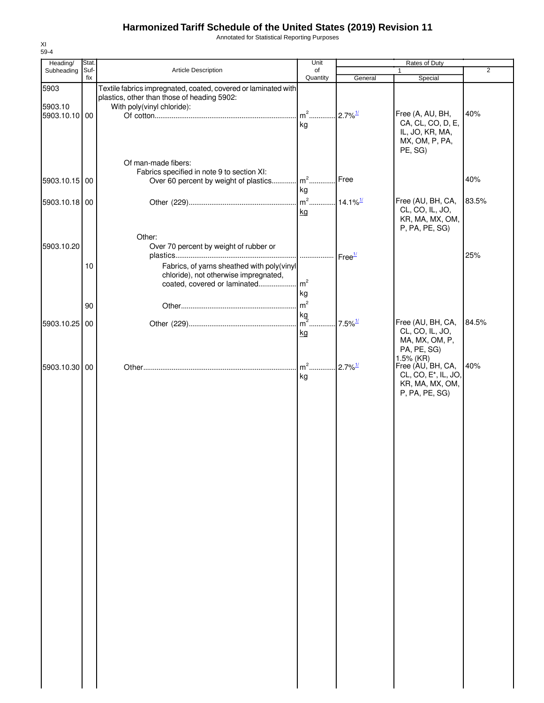Annotated for Statistical Reporting Purposes

| Heading/      | Stat. |                                                                                                               | Unit                                |                       | Rates of Duty                                                                              |       |
|---------------|-------|---------------------------------------------------------------------------------------------------------------|-------------------------------------|-----------------------|--------------------------------------------------------------------------------------------|-------|
| Subheading    | Suf-  | Article Description                                                                                           | of                                  |                       | $\mathbf{1}$                                                                               | 2     |
|               | fix   |                                                                                                               | Quantity                            | General               | Special                                                                                    |       |
| 5903          |       | Textile fabrics impregnated, coated, covered or laminated with<br>plastics, other than those of heading 5902: |                                     |                       |                                                                                            |       |
| 5903.10       |       | With poly(vinyl chloride):                                                                                    |                                     |                       |                                                                                            |       |
| 5903.10.10 00 |       |                                                                                                               | $m2$                                | $2.7\%$ <sup>1/</sup> | Free (A, AU, BH,                                                                           | 40%   |
|               |       |                                                                                                               | kg                                  |                       | CA, CL, CO, D, E,<br>IL, JO, KR, MA,<br>MX, OM, P, PA,<br>PE, SG)                          |       |
|               |       | Of man-made fibers:                                                                                           |                                     |                       |                                                                                            |       |
|               |       | Fabrics specified in note 9 to section XI:                                                                    |                                     |                       |                                                                                            |       |
| 5903.10.15 00 |       | Over 60 percent by weight of plastics   m <sup>2</sup>                                                        |                                     | Free                  |                                                                                            | 40%   |
|               |       |                                                                                                               | kg                                  |                       |                                                                                            |       |
| 5903.10.18 00 |       |                                                                                                               | m <sup>2</sup> 14.1% <sup>1/1</sup> |                       | Free (AU, BH, CA,                                                                          | 83.5% |
|               |       |                                                                                                               | kg                                  |                       | CL, CO, IL, JO,<br>KR, MA, MX, OM,<br>P, PA, PE, SG)                                       |       |
|               |       | Other:                                                                                                        |                                     |                       |                                                                                            |       |
| 5903.10.20    |       | Over 70 percent by weight of rubber or                                                                        |                                     |                       |                                                                                            | 25%   |
|               | 10    | Fabrics, of yarns sheathed with poly(vinyl                                                                    |                                     |                       |                                                                                            |       |
|               |       | chloride), not otherwise impregnated,                                                                         |                                     |                       |                                                                                            |       |
|               |       | coated, covered or laminated                                                                                  | $\mathsf{m}^2$                      |                       |                                                                                            |       |
|               |       |                                                                                                               | kg                                  |                       |                                                                                            |       |
|               | 90    |                                                                                                               | m <sup>2</sup>                      |                       |                                                                                            |       |
|               |       |                                                                                                               | kg                                  |                       |                                                                                            |       |
| 5903.10.25 00 |       |                                                                                                               | $\overline{m}^2$                    | $7.5\%$ <sup>1/</sup> | Free (AU, BH, CA,                                                                          | 84.5% |
|               |       |                                                                                                               | kg                                  |                       | CL, CO, IL, JO,<br>MA, MX, OM, P,<br>PA, PE, SG)<br>$1.5\%$ (KR)                           |       |
| 5903.10.30 00 |       |                                                                                                               | $m2$<br>kg                          | $2.7\%$ <sup>1/</sup> | Free (AU, BH, CA,<br>CL, CO, E <sup>*</sup> , IL, JO,<br>KR, MA, MX, OM,<br>P, PA, PE, SG) | 40%   |
|               |       |                                                                                                               |                                     |                       |                                                                                            |       |
|               |       |                                                                                                               |                                     |                       |                                                                                            |       |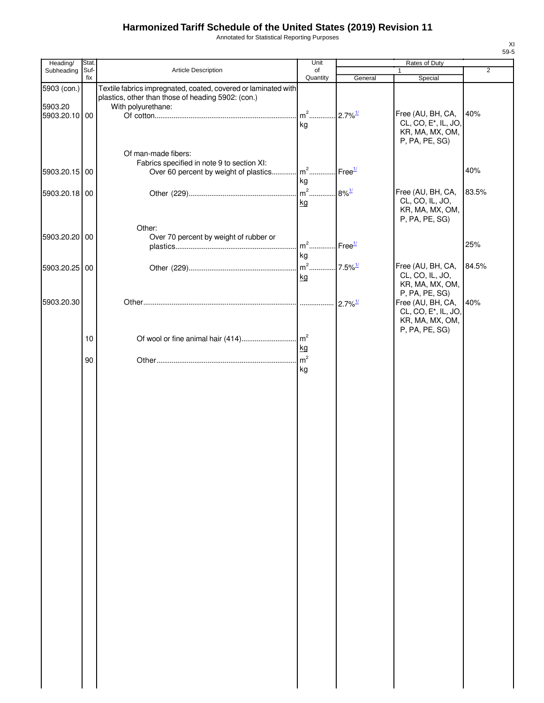Annotated for Statistical Reporting Purposes

| Heading/      | Stat.       |                                                                | Unit           |                                           | Rates of Duty                                         |       |
|---------------|-------------|----------------------------------------------------------------|----------------|-------------------------------------------|-------------------------------------------------------|-------|
| Subheading    | Suf-<br>fix | Article Description                                            | of<br>Quantity | General                                   | $\mathbf{1}$<br>Special                               | 2     |
| 5903 (con.)   |             | Textile fabrics impregnated, coated, covered or laminated with |                |                                           |                                                       |       |
|               |             | plastics, other than those of heading 5902: (con.)             |                |                                           |                                                       |       |
| 5903.20       |             | With polyurethane:                                             |                |                                           |                                                       |       |
| 5903.20.10 00 |             |                                                                |                |                                           | Free (AU, BH, CA,<br>CL, CO, E <sup>*</sup> , IL, JO, | 40%   |
|               |             |                                                                | kg             |                                           | KR, MA, MX, OM,                                       |       |
|               |             |                                                                |                |                                           | P, PA, PE, SG)                                        |       |
|               |             | Of man-made fibers:                                            |                |                                           |                                                       |       |
|               |             | Fabrics specified in note 9 to section XI:                     |                |                                           |                                                       |       |
| 5903.20.15 00 |             | Over 60 percent by weight of plastics   m <sup>2</sup>         |                | Free <sup>1/</sup>                        |                                                       | 40%   |
|               |             |                                                                | kg             |                                           |                                                       | 83.5% |
| 5903.20.18 00 |             |                                                                | $m2$<br>kg     | $8\%$ <sup><math>\frac{1}{2}</math></sup> | Free (AU, BH, CA,<br>CL, CO, IL, JO,                  |       |
|               |             |                                                                |                |                                           | KR, MA, MX, OM,                                       |       |
|               |             |                                                                |                |                                           | P, PA, PE, SG)                                        |       |
|               |             | Other:                                                         |                |                                           |                                                       |       |
| 5903.20.20 00 |             | Over 70 percent by weight of rubber or                         | $m2$           | Free <sup>1/</sup>                        |                                                       | 25%   |
|               |             |                                                                | kg             |                                           |                                                       |       |
| 5903.20.25 00 |             |                                                                |                |                                           | Free (AU, BH, CA,                                     | 84.5% |
|               |             |                                                                | kg             |                                           | CL, CO, IL, JO,                                       |       |
|               |             |                                                                |                |                                           | KR, MA, MX, OM,                                       |       |
|               |             |                                                                |                |                                           | P, PA, PE, SG)                                        |       |
| 5903.20.30    |             |                                                                |                | $2.7\%$ <sup>1/</sup>                     | Free (AU, BH, CA,<br>CL, CO, E <sup>*</sup> , IL, JO, | 40%   |
|               |             |                                                                |                |                                           | KR, MA, MX, OM,                                       |       |
|               |             |                                                                |                |                                           | P, PA, PE, SG)                                        |       |
|               | 10          |                                                                |                |                                           |                                                       |       |
|               |             |                                                                | kg             |                                           |                                                       |       |
|               | 90          |                                                                |                |                                           |                                                       |       |
|               |             |                                                                | kg             |                                           |                                                       |       |
|               |             |                                                                |                |                                           |                                                       |       |
|               |             |                                                                |                |                                           |                                                       |       |
|               |             |                                                                |                |                                           |                                                       |       |
|               |             |                                                                |                |                                           |                                                       |       |
|               |             |                                                                |                |                                           |                                                       |       |
|               |             |                                                                |                |                                           |                                                       |       |
|               |             |                                                                |                |                                           |                                                       |       |
|               |             |                                                                |                |                                           |                                                       |       |
|               |             |                                                                |                |                                           |                                                       |       |
|               |             |                                                                |                |                                           |                                                       |       |
|               |             |                                                                |                |                                           |                                                       |       |
|               |             |                                                                |                |                                           |                                                       |       |
|               |             |                                                                |                |                                           |                                                       |       |
|               |             |                                                                |                |                                           |                                                       |       |
|               |             |                                                                |                |                                           |                                                       |       |
|               |             |                                                                |                |                                           |                                                       |       |
|               |             |                                                                |                |                                           |                                                       |       |
|               |             |                                                                |                |                                           |                                                       |       |
|               |             |                                                                |                |                                           |                                                       |       |
|               |             |                                                                |                |                                           |                                                       |       |
|               |             |                                                                |                |                                           |                                                       |       |
|               |             |                                                                |                |                                           |                                                       |       |
|               |             |                                                                |                |                                           |                                                       |       |
|               |             |                                                                |                |                                           |                                                       |       |
|               |             |                                                                |                |                                           |                                                       |       |
|               |             |                                                                |                |                                           |                                                       |       |
|               |             |                                                                |                |                                           |                                                       |       |
|               |             |                                                                |                |                                           |                                                       |       |
|               |             |                                                                |                |                                           |                                                       |       |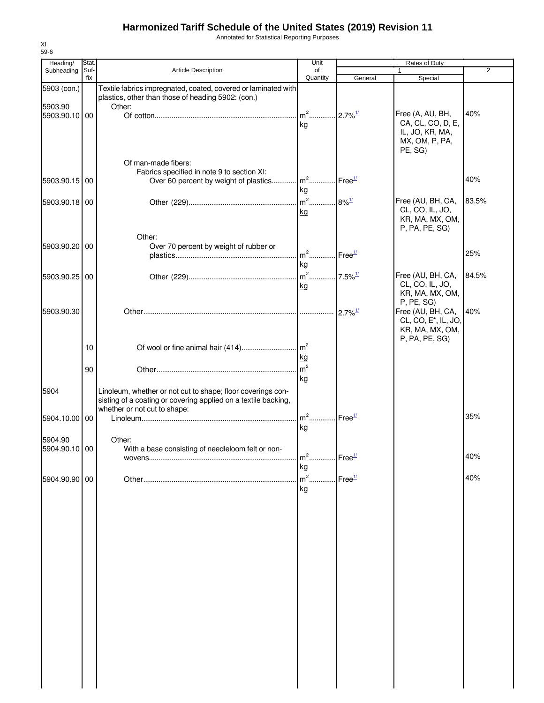Annotated for Statistical Reporting Purposes

| Heading/      | Stat. |                                                                         | Unit                             |                       | Rates of Duty                    |                |
|---------------|-------|-------------------------------------------------------------------------|----------------------------------|-----------------------|----------------------------------|----------------|
| Subheading    | Suf-  | Article Description                                                     | of                               |                       | 1                                | $\overline{2}$ |
|               | fix   |                                                                         | Quantity                         | General               | Special                          |                |
| 5903 (con.)   |       | Textile fabrics impregnated, coated, covered or laminated with          |                                  |                       |                                  |                |
|               |       | plastics, other than those of heading 5902: (con.)                      |                                  |                       |                                  |                |
| 5903.90       |       | Other:                                                                  |                                  |                       |                                  |                |
| 5903.90.10 00 |       |                                                                         |                                  |                       | Free (A, AU, BH,                 | 40%            |
|               |       |                                                                         | kg                               |                       | CA, CL, CO, D, E,                |                |
|               |       |                                                                         |                                  |                       | IL, JO, KR, MA,                  |                |
|               |       |                                                                         |                                  |                       | MX, OM, P, PA,                   |                |
|               |       |                                                                         |                                  |                       | PE, SG)                          |                |
|               |       | Of man-made fibers:                                                     |                                  |                       |                                  |                |
|               |       | Fabrics specified in note 9 to section XI:                              |                                  |                       |                                  |                |
| 5903.90.15 00 |       | Over 60 percent by weight of plastics m <sup>2</sup> Free <sup>1/</sup> |                                  |                       |                                  | 40%            |
|               |       |                                                                         | kg                               |                       |                                  |                |
| 5903.90.18 00 |       |                                                                         | $m^2$ 8% <sup>1/</sup>           |                       | Free (AU, BH, CA,                | 83.5%          |
|               |       |                                                                         | kg                               |                       | CL, CO, IL, JO,                  |                |
|               |       |                                                                         |                                  |                       | KR, MA, MX, OM,                  |                |
|               |       |                                                                         |                                  |                       | P, PA, PE, SG)                   |                |
|               |       | Other:                                                                  |                                  |                       |                                  |                |
| 5903.90.20 00 |       | Over 70 percent by weight of rubber or                                  |                                  |                       |                                  |                |
|               |       |                                                                         | $m^2$                            | Free <sup>1/</sup>    |                                  | 25%            |
|               |       |                                                                         | kg                               |                       |                                  |                |
|               |       |                                                                         |                                  |                       |                                  |                |
| 5903.90.25 00 |       |                                                                         | $m^2$ 7.5% $\frac{1}{2}$         |                       | Free (AU, BH, CA,                | 84.5%          |
|               |       |                                                                         | kg                               |                       | CL, CO, IL, JO,                  |                |
|               |       |                                                                         |                                  |                       | KR, MA, MX, OM,                  |                |
|               |       |                                                                         |                                  |                       | P, PE, SG)                       |                |
| 5903.90.30    |       |                                                                         |                                  | $2.7\%$ <sup>1/</sup> | Free (AU, BH, CA,                | 40%            |
|               |       |                                                                         |                                  |                       | CL, CO, E <sup>*</sup> , IL, JO, |                |
|               |       |                                                                         |                                  |                       | KR, MA, MX, OM,                  |                |
|               |       |                                                                         |                                  |                       | P, PA, PE, SG)                   |                |
|               | 10    |                                                                         |                                  |                       |                                  |                |
|               |       |                                                                         | kg                               |                       |                                  |                |
|               | 90    |                                                                         | m <sup>2</sup>                   |                       |                                  |                |
|               |       |                                                                         | kg                               |                       |                                  |                |
| 5904          |       | Linoleum, whether or not cut to shape; floor coverings con-             |                                  |                       |                                  |                |
|               |       | sisting of a coating or covering applied on a textile backing,          |                                  |                       |                                  |                |
|               |       | whether or not cut to shape:                                            |                                  |                       |                                  |                |
| 5904.10.00    | 00    |                                                                         | $m2$                             | $Free^{\frac{1}{2}}$  |                                  | 35%            |
|               |       |                                                                         | kg                               |                       |                                  |                |
|               |       |                                                                         |                                  |                       |                                  |                |
| 5904.90       |       | Other:                                                                  |                                  |                       |                                  |                |
| 5904.90.10 00 |       | With a base consisting of needleloom felt or non-                       |                                  |                       |                                  |                |
|               |       |                                                                         | m <sup>2</sup> Free <sup>1</sup> |                       |                                  | 40%            |
|               |       |                                                                         | kg                               |                       |                                  |                |
| 5904.90.90 00 |       |                                                                         | $m2$ .                           | Free <sup>1/</sup>    |                                  | 40%            |
|               |       |                                                                         | kg                               |                       |                                  |                |
|               |       |                                                                         |                                  |                       |                                  |                |
|               |       |                                                                         |                                  |                       |                                  |                |
|               |       |                                                                         |                                  |                       |                                  |                |
|               |       |                                                                         |                                  |                       |                                  |                |
|               |       |                                                                         |                                  |                       |                                  |                |
|               |       |                                                                         |                                  |                       |                                  |                |
|               |       |                                                                         |                                  |                       |                                  |                |
|               |       |                                                                         |                                  |                       |                                  |                |
|               |       |                                                                         |                                  |                       |                                  |                |
|               |       |                                                                         |                                  |                       |                                  |                |
|               |       |                                                                         |                                  |                       |                                  |                |
|               |       |                                                                         |                                  |                       |                                  |                |
|               |       |                                                                         |                                  |                       |                                  |                |
|               |       |                                                                         |                                  |                       |                                  |                |
|               |       |                                                                         |                                  |                       |                                  |                |
|               |       |                                                                         |                                  |                       |                                  |                |
|               |       |                                                                         |                                  |                       |                                  |                |
|               |       |                                                                         |                                  |                       |                                  |                |
|               |       |                                                                         |                                  |                       |                                  |                |
|               |       |                                                                         |                                  |                       |                                  |                |
|               |       |                                                                         |                                  |                       |                                  |                |
|               |       |                                                                         |                                  |                       |                                  |                |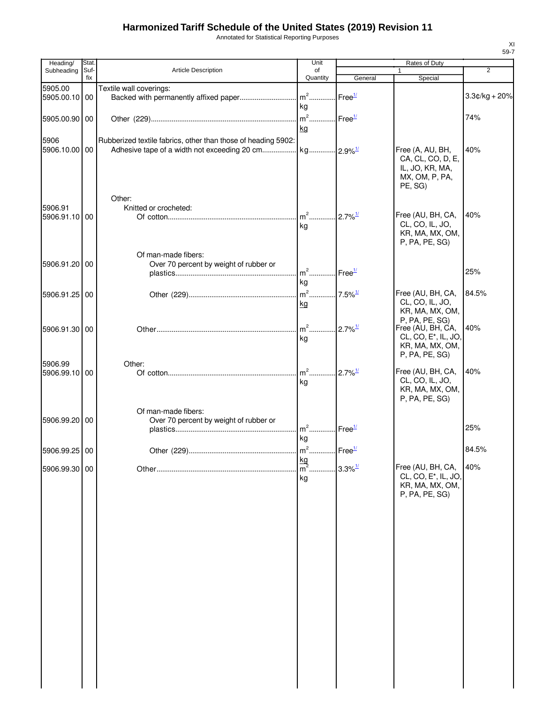Annotated for Statistical Reporting Purposes

| Heading/                 | Stat.<br>Suf- |                                                               | Unit<br>of                                                            |                       | Rates of Duty                                                                                                | $\overline{2}$  |
|--------------------------|---------------|---------------------------------------------------------------|-----------------------------------------------------------------------|-----------------------|--------------------------------------------------------------------------------------------------------------|-----------------|
| Subheading               | fix           | Article Description                                           | Quantity                                                              | General               | 1<br>Special                                                                                                 |                 |
| 5905.00<br>5905.00.10 00 |               | Textile wall coverings:                                       | kg                                                                    | Free <sup>1/</sup>    |                                                                                                              | $3.3¢/kg + 20%$ |
| 5905.00.90 00            |               |                                                               | $\mathsf{m}^2 \ldots \ldots \ldots \ldots$ Free $\frac{1/2}{2}$<br>kg |                       |                                                                                                              | 74%             |
| 5906<br>5906.10.00 00    |               | Rubberized textile fabrics, other than those of heading 5902: |                                                                       |                       | Free (A, AU, BH,<br>CA, CL, CO, D, E,<br>IL, JO, KR, MA,<br>MX, OM, P, PA,<br>PE, SG)                        | 40%             |
| 5906.91<br>5906.91.10 00 |               | Other:<br>Knitted or crocheted:                               | ka                                                                    |                       | Free (AU, BH, CA,<br>CL, CO, IL, JO,<br>KR, MA, MX, OM,<br>P, PA, PE, SG)                                    | 40%             |
| 5906.91.20 00            |               | Of man-made fibers:<br>Over 70 percent by weight of rubber or | m <sup>2</sup> Free <sup>1/</sup>                                     |                       |                                                                                                              | 25%             |
| 5906.91.25 00            |               |                                                               | kg<br>kg                                                              |                       | Free (AU, BH, CA,<br>CL, CO, IL, JO,<br>KR, MA, MX, OM,                                                      | 84.5%           |
| 5906.91.30 00            |               |                                                               | m <sup>2</sup> 2.7% <sup>1/</sup><br>kg                               |                       | P, PA, PE, SG)<br>Free (AU, BH, CA,<br>CL, CO, E <sup>*</sup> , IL, JO,<br>KR, MA, MX, OM,<br>P, PA, PE, SG) | 40%             |
| 5906.99<br>5906.99.10 00 |               | Other:                                                        | m <sup>2</sup> 2.7% <sup>1/</sup><br>kg                               |                       | Free (AU, BH, CA,<br>CL, CO, IL, JO,<br>KR, MA, MX, OM,<br>P, PA, PE, SG)                                    | 40%             |
| 5906.99.20 00            |               | Of man-made fibers:<br>Over 70 percent by weight of rubber or | $m^2$ Free <sup>1/</sup><br>kg                                        |                       |                                                                                                              | 25%             |
| 5906.99.25 00            |               | Other (229)                                                   | $m2$ .<br>Free <sup>1/</sup>                                          |                       |                                                                                                              | 84.5%           |
| 5906.99.30 00            |               |                                                               | $\frac{\text{kg}}{\text{m}^2}$ .<br>kg                                | $3.3\%$ <sup>1/</sup> | Free (AU, BH, CA,<br>CL, CO, E*, IL, JO,<br>KR, MA, MX, OM,<br>P, PA, PE, SG)                                | 40%             |
|                          |               |                                                               |                                                                       |                       |                                                                                                              |                 |
|                          |               |                                                               |                                                                       |                       |                                                                                                              |                 |
|                          |               |                                                               |                                                                       |                       |                                                                                                              |                 |
|                          |               |                                                               |                                                                       |                       |                                                                                                              |                 |
|                          |               |                                                               |                                                                       |                       |                                                                                                              |                 |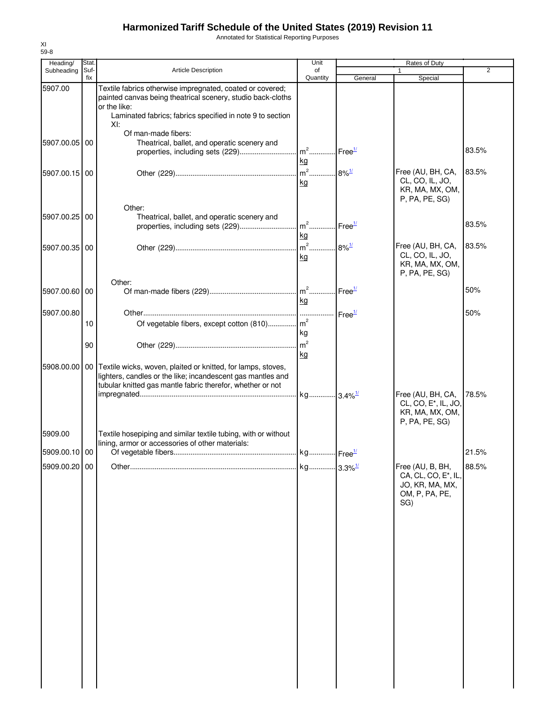Annotated for Statistical Reporting Purposes

| Heading/                 | Stat.       |                                                                                                                                                                                                             | Unit                      |                      | Rates of Duty                                                                                    |                |
|--------------------------|-------------|-------------------------------------------------------------------------------------------------------------------------------------------------------------------------------------------------------------|---------------------------|----------------------|--------------------------------------------------------------------------------------------------|----------------|
| Subheading               | Suf-<br>fix | <b>Article Description</b>                                                                                                                                                                                  | of                        |                      |                                                                                                  | $\overline{2}$ |
| 5907.00                  |             | Textile fabrics otherwise impregnated, coated or covered;<br>painted canvas being theatrical scenery, studio back-cloths<br>or the like:<br>Laminated fabrics; fabrics specified in note 9 to section       | Quantity                  | General              | Special                                                                                          |                |
|                          |             | XI:                                                                                                                                                                                                         |                           |                      |                                                                                                  |                |
| 5907.00.05 00            |             | Of man-made fibers:<br>Theatrical, ballet, and operatic scenery and                                                                                                                                         | kg                        |                      |                                                                                                  | 83.5%          |
| 5907.00.15 00            |             |                                                                                                                                                                                                             | $m^2$<br>kg               | $.8\%$ <sup>1/</sup> | Free (AU, BH, CA,<br>CL, CO, IL, JO,<br>KR, MA, MX, OM,<br>P, PA, PE, SG)                        | 83.5%          |
| 5907.00.25 00            |             | Other:<br>Theatrical, ballet, and operatic scenery and                                                                                                                                                      | kg                        |                      |                                                                                                  | 83.5%          |
| 5907.00.35 00            |             |                                                                                                                                                                                                             | $\mathsf{I}$ m $^2$<br>kg | $.8\%$ <sup>1/</sup> | Free (AU, BH, CA,<br>CL, CO, IL, JO,<br>KR, MA, MX, OM,<br>P, PA, PE, SG)                        | 83.5%          |
| 5907.00.60 00            |             | Other:                                                                                                                                                                                                      | kg                        |                      |                                                                                                  | 50%            |
| 5907.00.80               |             |                                                                                                                                                                                                             |                           |                      |                                                                                                  | 50%            |
|                          | 10          | Of vegetable fibers, except cotton (810) m <sup>2</sup>                                                                                                                                                     | kg                        |                      |                                                                                                  |                |
|                          | 90          |                                                                                                                                                                                                             | kg                        |                      |                                                                                                  |                |
|                          |             | 5908.00.00   00   Textile wicks, woven, plaited or knitted, for lamps, stoves,<br>lighters, candles or the like; incandescent gas mantles and<br>tubular knitted gas mantle fabric therefor, whether or not |                           |                      |                                                                                                  |                |
|                          |             |                                                                                                                                                                                                             | kg 3.4% <sup>1/</sup>     |                      | Free (AU, BH, CA,<br>CL, CO, E <sup>*</sup> , IL, JO,<br>KR, MA, MX, OM,<br>P, PA, PE, SG)       | 78.5%          |
| 5909.00<br>5909.00.10 00 |             | Textile hosepiping and similar textile tubing, with or without<br>lining, armor or accessories of other materials:                                                                                          |                           |                      |                                                                                                  |                |
|                          |             |                                                                                                                                                                                                             |                           |                      |                                                                                                  | 21.5%          |
| 5909.00.20 00            |             |                                                                                                                                                                                                             | kg 3.3% <sup>1/</sup>     |                      | Free (AU, B, BH,<br>CA, CL, CO, E <sup>*</sup> , IL,<br>JO, KR, MA, MX,<br>OM, P, PA, PE,<br>SG) | 88.5%          |
|                          |             |                                                                                                                                                                                                             |                           |                      |                                                                                                  |                |
|                          |             |                                                                                                                                                                                                             |                           |                      |                                                                                                  |                |
|                          |             |                                                                                                                                                                                                             |                           |                      |                                                                                                  |                |
|                          |             |                                                                                                                                                                                                             |                           |                      |                                                                                                  |                |
|                          |             |                                                                                                                                                                                                             |                           |                      |                                                                                                  |                |
|                          |             |                                                                                                                                                                                                             |                           |                      |                                                                                                  |                |
|                          |             |                                                                                                                                                                                                             |                           |                      |                                                                                                  |                |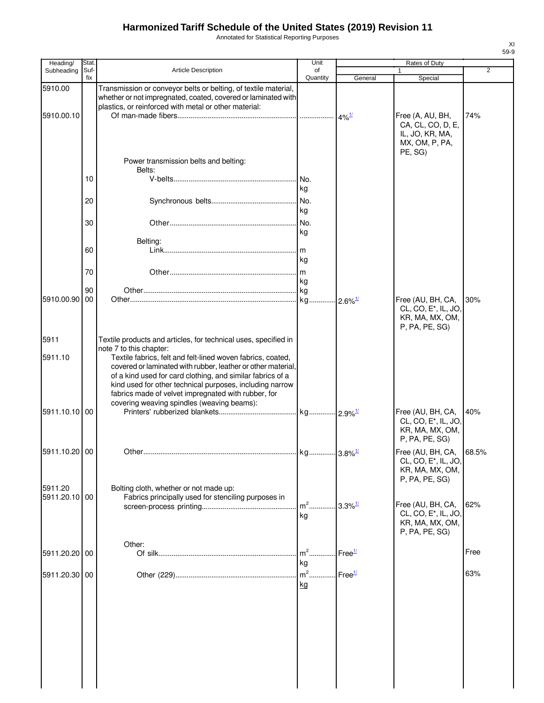Annotated for Statistical Reporting Purposes

| Heading/                 | <b>Stat</b> |                                                                                                                                                                                                                                                                                                                                                            | Unit                                    |                    | <b>Rates of Duty</b>                                                                       |                |
|--------------------------|-------------|------------------------------------------------------------------------------------------------------------------------------------------------------------------------------------------------------------------------------------------------------------------------------------------------------------------------------------------------------------|-----------------------------------------|--------------------|--------------------------------------------------------------------------------------------|----------------|
| Subheading               | Suf-<br>fix | <b>Article Description</b>                                                                                                                                                                                                                                                                                                                                 | of<br>Quantity                          | General            | 1<br>Special                                                                               | $\overline{2}$ |
| 5910.00                  |             | Transmission or conveyor belts or belting, of textile material,<br>whether or not impregnated, coated, covered or laminated with<br>plastics, or reinforced with metal or other material:                                                                                                                                                                  |                                         |                    |                                                                                            |                |
| 5910.00.10               |             |                                                                                                                                                                                                                                                                                                                                                            |                                         |                    | Free (A, AU, BH,<br>CA, CL, CO, D, E,<br>IL, JO, KR, MA,<br>MX, OM, P, PA,<br>PE, SG)      | 74%            |
|                          | 10          | Power transmission belts and belting:<br>Belts:                                                                                                                                                                                                                                                                                                            |                                         |                    |                                                                                            |                |
|                          | 20          |                                                                                                                                                                                                                                                                                                                                                            | kg<br>No.                               |                    |                                                                                            |                |
|                          | 30          |                                                                                                                                                                                                                                                                                                                                                            | kg<br>No.<br>kg                         |                    |                                                                                            |                |
|                          | 60          | Belting:                                                                                                                                                                                                                                                                                                                                                   | kg                                      |                    |                                                                                            |                |
|                          | 70          |                                                                                                                                                                                                                                                                                                                                                            | kg                                      |                    |                                                                                            |                |
| 5910.00.90               | 90<br>00    |                                                                                                                                                                                                                                                                                                                                                            |                                         |                    | Free (AU, BH, CA,<br>CL, CO, E <sup>*</sup> , IL, JO,<br>KR, MA, MX, OM,<br>P, PA, PE, SG) | 30%            |
| 5911                     |             | Textile products and articles, for technical uses, specified in<br>note 7 to this chapter:                                                                                                                                                                                                                                                                 |                                         |                    |                                                                                            |                |
| 5911.10                  |             | Textile fabrics, felt and felt-lined woven fabrics, coated,<br>covered or laminated with rubber, leather or other material,<br>of a kind used for card clothing, and similar fabrics of a<br>kind used for other technical purposes, including narrow<br>fabrics made of velvet impregnated with rubber, for<br>covering weaving spindles (weaving beams): |                                         |                    |                                                                                            |                |
| 5911.10.10 00            |             |                                                                                                                                                                                                                                                                                                                                                            |                                         |                    | Free (AU, BH, CA,<br>CL, CO, E <sup>*</sup> , IL, JO,<br>KR, MA, MX, OM,<br>P, PA, PE, SG) | 40%            |
| 5911.10.20 00            |             |                                                                                                                                                                                                                                                                                                                                                            |                                         |                    | Free (AU, BH, CA, 68.5%<br>CL, CO, E*, IL, JO,<br>KR, MA, MX, OM,<br>P, PA, PE, SG)        |                |
| 5911.20<br>5911.20.10 00 |             | Bolting cloth, whether or not made up:<br>Fabrics principally used for stenciling purposes in                                                                                                                                                                                                                                                              | m <sup>2</sup> 3.3% <sup>1/</sup><br>kg |                    | Free (AU, BH, CA,<br>CL, CO, E <sup>*</sup> , IL, JO,<br>KR, MA, MX, OM,                   | 62%            |
| 5911.20.20               | 00          | Other:                                                                                                                                                                                                                                                                                                                                                     | $m2$ .                                  | Free <sup>1/</sup> | P, PA, PE, SG)                                                                             | Free           |
| 5911.20.30 00            |             |                                                                                                                                                                                                                                                                                                                                                            | kg<br>$m2$ .<br>kg                      | Free <sup>1/</sup> |                                                                                            | 63%            |
|                          |             |                                                                                                                                                                                                                                                                                                                                                            |                                         |                    |                                                                                            |                |
|                          |             |                                                                                                                                                                                                                                                                                                                                                            |                                         |                    |                                                                                            |                |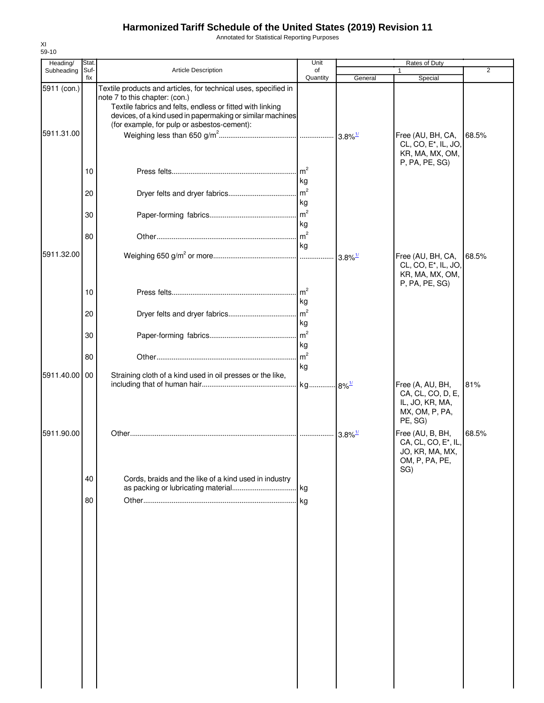Annotated for Statistical Reporting Purposes

| Heading/                  | Stat.                |                                                                                                                                                                                                                                                                             | Unit                                                                                    | Rates of Duty         |                                                                                            |                |  |
|---------------------------|----------------------|-----------------------------------------------------------------------------------------------------------------------------------------------------------------------------------------------------------------------------------------------------------------------------|-----------------------------------------------------------------------------------------|-----------------------|--------------------------------------------------------------------------------------------|----------------|--|
| Subheading                | Suf-<br>fix          | Article Description                                                                                                                                                                                                                                                         | of<br>Quantity                                                                          | General               | 1<br>Special                                                                               | $\overline{2}$ |  |
| 5911 (con.)<br>5911.31.00 |                      | Textile products and articles, for technical uses, specified in<br>note 7 to this chapter: (con.)<br>Textile fabrics and felts, endless or fitted with linking<br>devices, of a kind used in papermaking or similar machines<br>(for example, for pulp or asbestos-cement): |                                                                                         |                       | Free (AU, BH, CA,<br>CL, CO, E <sup>*</sup> , IL, JO,<br>KR, MA, MX, OM,                   | 68.5%          |  |
|                           | 10<br>20<br>30<br>80 |                                                                                                                                                                                                                                                                             | $\mathsf{Im}^2$<br>kg<br>m <sup>2</sup><br>kg<br>$\mathsf{m}^2$<br>kg<br>m <sup>2</sup> |                       | P, PA, PE, SG)                                                                             |                |  |
| 5911.32.00                |                      |                                                                                                                                                                                                                                                                             | kg                                                                                      | $3.8\%$ <sup>1/</sup> | Free (AU, BH, CA,<br>CL, CO, E <sup>*</sup> , IL, JO,<br>KR, MA, MX, OM,<br>P, PA, PE, SG) | 68.5%          |  |
|                           | 10<br>20             |                                                                                                                                                                                                                                                                             | m <sup>2</sup><br>kg<br>m <sup>2</sup><br>kg                                            |                       |                                                                                            |                |  |
|                           | 30<br>80             |                                                                                                                                                                                                                                                                             | m <sup>2</sup><br>kg<br>m <sup>2</sup>                                                  |                       |                                                                                            |                |  |
| 5911.40.00                | 00                   | Straining cloth of a kind used in oil presses or the like,                                                                                                                                                                                                                  | kg                                                                                      |                       | Free (A, AU, BH,                                                                           | 81%            |  |
|                           |                      |                                                                                                                                                                                                                                                                             |                                                                                         |                       | CA, CL, CO, D, E,<br>IL, JO, KR, MA,<br>MX, OM, P, PA,<br>PE, SG)                          |                |  |
| 5911.90.00                |                      |                                                                                                                                                                                                                                                                             |                                                                                         |                       | Free (AU, B, BH,<br>CA, CL, CO, E*, IL,<br>JO, KR, MA, MX,<br>OM, P, PA, PE,<br>SG)        | 68.5%          |  |
|                           | 40<br>80             | Cords, braids and the like of a kind used in industry                                                                                                                                                                                                                       | <b>kg</b>                                                                               |                       |                                                                                            |                |  |
|                           |                      |                                                                                                                                                                                                                                                                             |                                                                                         |                       |                                                                                            |                |  |